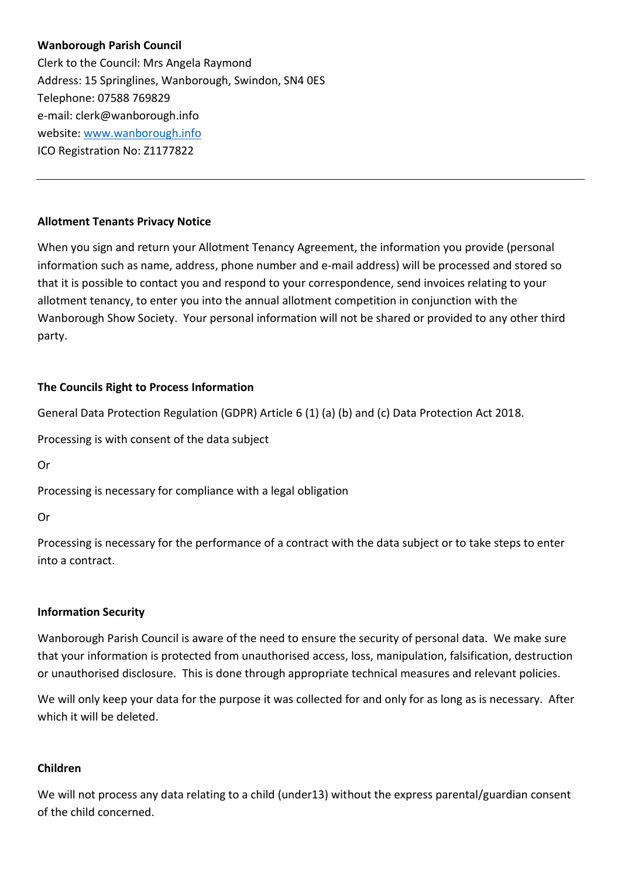# **Wanborough Parish Council**

Clerk to the Council: Mrs Angela Raymond Address: 15 Springlines, Wanborough, Swindon, SN4 0ES Telephone: 07588 769829 e-mail: clerk@wanborough.info website: [www.wanborough.info](http://www.wanborough.info/) ICO Registration No: Z1177822

### **Allotment Tenants Privacy Notice**

When you sign and return your Allotment Tenancy Agreement, the information you provide (personal information such as name, address, phone number and e-mail address) will be processed and stored so that it is possible to contact you and respond to your correspondence, send invoices relating to your allotment tenancy, to enter you into the annual allotment competition in conjunction with the Wanborough Show Society. Your personal information will not be shared or provided to any other third party.

# **The Councils Right to Process Information**

General Data Protection Regulation (GDPR) Article 6 (1) (a) (b) and (c) Data Protection Act 2018.

Processing is with consent of the data subject

Or

Processing is necessary for compliance with a legal obligation

Or

Processing is necessary for the performance of a contract with the data subject or to take steps to enter into a contract.

#### **Information Security**

Wanborough Parish Council is aware of the need to ensure the security of personal data. We make sure that your information is protected from unauthorised access, loss, manipulation, falsification, destruction or unauthorised disclosure. This is done through appropriate technical measures and relevant policies.

We will only keep your data for the purpose it was collected for and only for as long as is necessary. After which it will be deleted.

# **Children**

We will not process any data relating to a child (under13) without the express parental/guardian consent of the child concerned.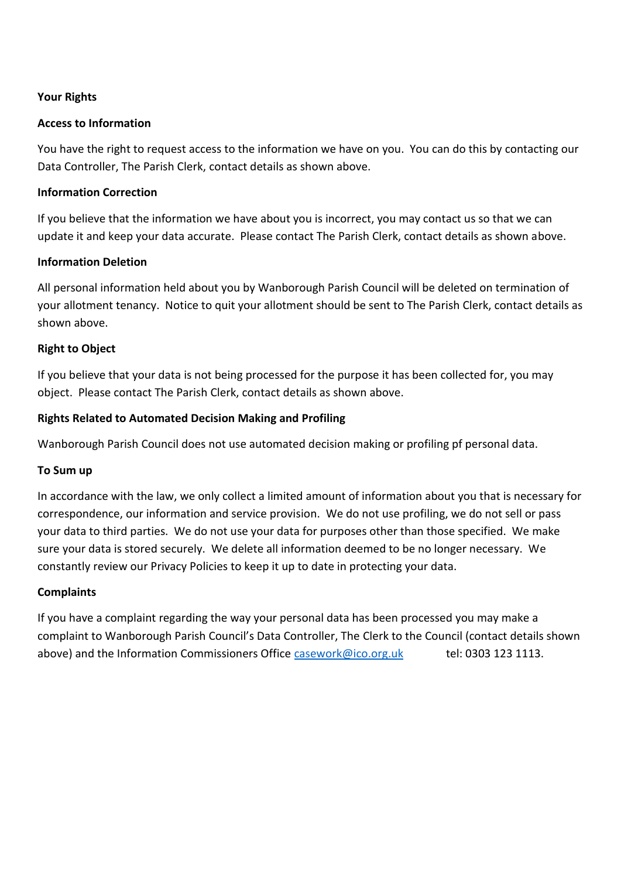# **Your Rights**

### **Access to Information**

You have the right to request access to the information we have on you. You can do this by contacting our Data Controller, The Parish Clerk, contact details as shown above.

### **Information Correction**

If you believe that the information we have about you is incorrect, you may contact us so that we can update it and keep your data accurate. Please contact The Parish Clerk, contact details as shown above.

### **Information Deletion**

All personal information held about you by Wanborough Parish Council will be deleted on termination of your allotment tenancy. Notice to quit your allotment should be sent to The Parish Clerk, contact details as shown above.

### **Right to Object**

If you believe that your data is not being processed for the purpose it has been collected for, you may object. Please contact The Parish Clerk, contact details as shown above.

### **Rights Related to Automated Decision Making and Profiling**

Wanborough Parish Council does not use automated decision making or profiling pf personal data.

#### **To Sum up**

In accordance with the law, we only collect a limited amount of information about you that is necessary for correspondence, our information and service provision. We do not use profiling, we do not sell or pass your data to third parties. We do not use your data for purposes other than those specified. We make sure your data is stored securely. We delete all information deemed to be no longer necessary. We constantly review our Privacy Policies to keep it up to date in protecting your data.

#### **Complaints**

If you have a complaint regarding the way your personal data has been processed you may make a complaint to Wanborough Parish Council's Data Controller, The Clerk to the Council (contact details shown above) and the Information Commissioners Office [casework@ico.org.uk](mailto:casework@ico.org.uk) tel: 0303 123 1113.